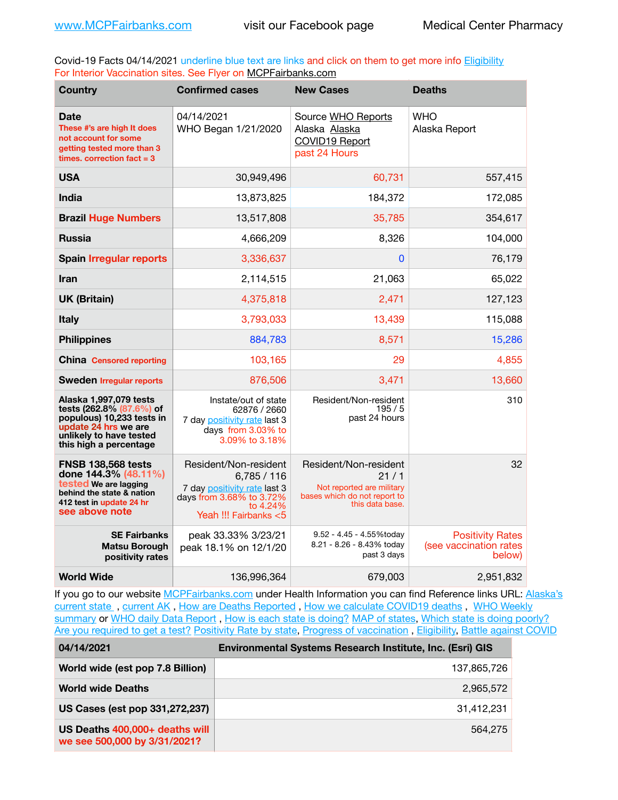Covid-19 Facts 04/14/2021 underline blue text are links and click on them to get more info **Eligibility** For Interior Vaccination sites. See Flyer on [MCPFairbanks.com](http://www.MCPFairbanks.com)

| <b>Country</b>                                                                                                                                               | <b>Confirmed cases</b>                                                                                                              | <b>New Cases</b>                                                                                              | <b>Deaths</b>                                               |
|--------------------------------------------------------------------------------------------------------------------------------------------------------------|-------------------------------------------------------------------------------------------------------------------------------------|---------------------------------------------------------------------------------------------------------------|-------------------------------------------------------------|
| Date<br>These #'s are high It does<br>not account for some<br>getting tested more than 3<br>times, correction fact $= 3$                                     | 04/14/2021<br>WHO Began 1/21/2020                                                                                                   | Source WHO Reports<br>Alaska Alaska<br>COVID19 Report<br>past 24 Hours                                        | WHO<br>Alaska Report                                        |
| <b>USA</b>                                                                                                                                                   | 30.949.496                                                                                                                          | 60,731                                                                                                        | 557.415                                                     |
| <b>India</b>                                                                                                                                                 | 13,873,825                                                                                                                          | 184,372                                                                                                       | 172,085                                                     |
| <b>Brazil Huge Numbers</b>                                                                                                                                   | 13,517,808                                                                                                                          | 35,785                                                                                                        | 354,617                                                     |
| <b>Russia</b>                                                                                                                                                | 4,666,209                                                                                                                           | 8,326                                                                                                         | 104,000                                                     |
| <b>Spain Irregular reports</b>                                                                                                                               | 3,336,637                                                                                                                           | 0                                                                                                             | 76,179                                                      |
| <b>Iran</b>                                                                                                                                                  | 2,114,515                                                                                                                           | 21,063                                                                                                        | 65,022                                                      |
| <b>UK (Britain)</b>                                                                                                                                          | 4,375,818                                                                                                                           | 2,471                                                                                                         | 127,123                                                     |
| <b>Italy</b>                                                                                                                                                 | 3,793,033                                                                                                                           | 13,439                                                                                                        | 115,088                                                     |
| <b>Philippines</b>                                                                                                                                           | 884,783                                                                                                                             | 8,571                                                                                                         | 15,286                                                      |
| <b>China</b> Censored reporting                                                                                                                              | 103,165                                                                                                                             | 29                                                                                                            | 4,855                                                       |
| <b>Sweden Irregular reports</b>                                                                                                                              | 876.506                                                                                                                             | 3.471                                                                                                         | 13.660                                                      |
| Alaska 1,997,079 tests<br>tests (262.8% (87.6%) of<br>populous) 10,233 tests in<br>update 24 hrs we are<br>unlikely to have tested<br>this high a percentage | Instate/out of state<br>62876 / 2660<br>7 day positivity rate last 3<br>days from 3.03% to<br>3.09% to 3.18%                        | Resident/Non-resident<br>195/5<br>past 24 hours                                                               | 310                                                         |
| <b>FNSB 138.568 tests</b><br>done 144.3% (48.11%)<br>tested We are lagging<br>behind the state & nation<br>412 test in update 24 hr<br>see above note        | Resident/Non-resident<br>6,785/116<br>7 day positivity rate last 3<br>days from 3.68% to 3.72%<br>to 4.24%<br>Yeah !!! Fairbanks <5 | Resident/Non-resident<br>21/1<br>Not reported are military<br>bases which do not report to<br>this data base. | 32                                                          |
| <b>SE Fairbanks</b><br><b>Matsu Borough</b><br>positivity rates                                                                                              | peak 33.33% 3/23/21<br>peak 18.1% on 12/1/20                                                                                        | 9.52 - 4.45 - 4.55%today<br>8.21 - 8.26 - 8.43% today<br>past 3 days                                          | <b>Positivity Rates</b><br>(see vaccination rates<br>below) |
| <b>World Wide</b>                                                                                                                                            | 136,996,364                                                                                                                         | 679,003                                                                                                       | 2,951,832                                                   |

If you go to our website [MCPFairbanks.com](http://www.MCPFairbanks.com) under Health Information you can find Reference links URL: Alaska's [current state](https://coronavirus-response-alaska-dhss.hub.arcgis.com) , [current AK](http://dhss.alaska.gov/dph/Epi/id/Pages/COVID-19/communications.aspx#cases) , [How are Deaths Reported](http://dhss.alaska.gov/dph/Epi/id/Pages/COVID-19/deathcounts.aspx) , [How we calculate COVID19 deaths](https://coronavirus-response-alaska-dhss.hub.arcgis.com/search?collection=Document&groupIds=41ccb3344ebc4bd682c74073eba21f42) , [WHO Weekly](http://www.who.int)  [summary](http://www.who.int) or [WHO daily Data Report](https://covid19.who.int/table), [How is each state is doing?](https://www.msn.com/en-us/news/us/state-by-state-coronavirus-news/ar-BB13E1PX?fbclid=IwAR0_OBJH7lSyTN3ug_MsOeFnNgB1orTa9OBgilKJ7dhnwlVvHEsptuKkj1c) [MAP of states,](https://www.nationalgeographic.com/science/graphics/graphic-tracking-coronavirus-infections-us?cmpid=org=ngp::mc=crm-email::src=ngp::cmp=editorial::add=SpecialEdition_20210305&rid=B9A6DF5992658E8E35CE023113CFEA4C) [Which state is doing poorly?](https://bestlifeonline.com/covid-outbreak-your-state/?utm_source=nsltr&utm_medium=email&utm_content=covid-outbreak-your-state&utm_campaign=launch) [Are you required to get a test?](http://dhss.alaska.gov/dph/Epi/id/SiteAssets/Pages/HumanCoV/Whattodoafteryourtest.pdf) [Positivity Rate by state](https://coronavirus.jhu.edu/testing/individual-states/alaska), Progress of vaccination, [Eligibility,](http://dhss.alaska.gov/dph/Epi/id/Pages/COVID-19/VaccineAvailability.aspx) [Battle against COVID](https://www.nationalgeographic.com/science/graphics/graphic-tracking-coronavirus-infections-us?cmpid=org=ngp::mc=crm-email::src=ngp::cmp=editorial::add=SpecialEdition_20210219&rid=B9A6DF5992658E8E35CE023113CFEA4C)

| 04/14/2021                                                     | <b>Environmental Systems Research Institute, Inc. (Esri) GIS</b> |
|----------------------------------------------------------------|------------------------------------------------------------------|
| World wide (est pop 7.8 Billion)                               | 137,865,726                                                      |
| <b>World wide Deaths</b>                                       | 2.965.572                                                        |
| US Cases (est pop 331,272,237)                                 | 31.412.231                                                       |
| US Deaths 400,000+ deaths will<br>we see 500,000 by 3/31/2021? | 564.275                                                          |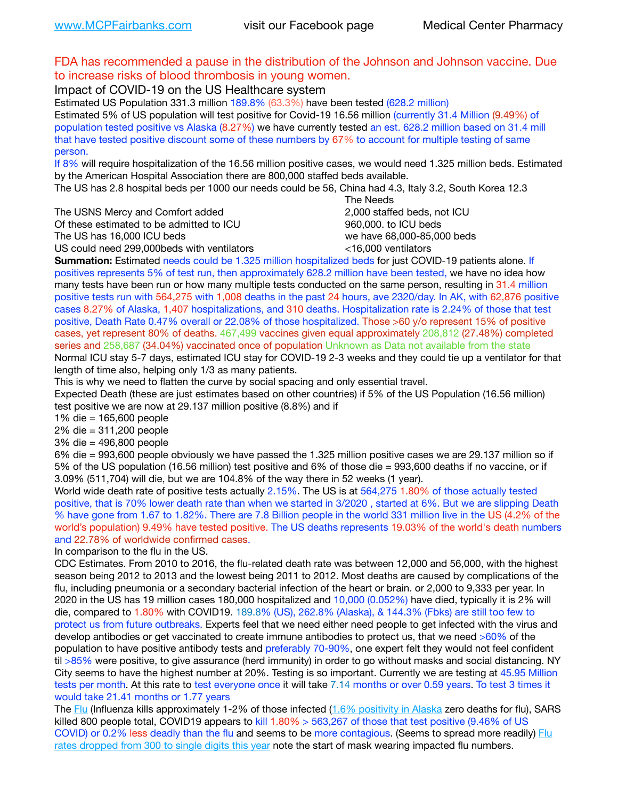## FDA has recommended a pause in the distribution of the Johnson and Johnson vaccine. Due to increase risks of blood thrombosis in young women.

## Impact of COVID-19 on the US Healthcare system

Estimated US Population 331.3 million 189.8% (63.3%) have been tested (628.2 million) Estimated 5% of US population will test positive for Covid-19 16.56 million (currently 31.4 Million (9.49%) of population tested positive vs Alaska (8.27%) we have currently tested an est. 628.2 million based on 31.4 mill that have tested positive discount some of these numbers by 67% to account for multiple testing of same person.

If 8% will require hospitalization of the 16.56 million positive cases, we would need 1.325 million beds. Estimated by the American Hospital Association there are 800,000 staffed beds available.

The US has 2.8 hospital beds per 1000 our needs could be 56, China had 4.3, Italy 3.2, South Korea 12.3

The USNS Mercy and Comfort added 2,000 staffed beds, not ICU

Of these estimated to be admitted to ICU **860,000**, to ICU beds

 The Needs The US has 16,000 ICU beds we have 68,000-85,000 beds

US could need 299,000 beds with ventilators  $\leq$ 16,000 ventilators

**Summation:** Estimated needs could be 1.325 million hospitalized beds for just COVID-19 patients alone. If positives represents 5% of test run, then approximately 628.2 million have been tested, we have no idea how many tests have been run or how many multiple tests conducted on the same person, resulting in 31.4 million positive tests run with 564,275 with 1,008 deaths in the past 24 hours, ave 2320/day. In AK, with 62,876 positive cases 8.27% of Alaska, 1,407 hospitalizations, and 310 deaths. Hospitalization rate is 2.24% of those that test positive, Death Rate 0.47% overall or 22.08% of those hospitalized. Those >60 y/o represent 15% of positive cases, yet represent 80% of deaths. 467,499 vaccines given equal approximately 208,812 (27.48%) completed series and 258,687 (34.04%) vaccinated once of population Unknown as Data not available from the state Normal ICU stay 5-7 days, estimated ICU stay for COVID-19 2-3 weeks and they could tie up a ventilator for that

length of time also, helping only 1/3 as many patients.

This is why we need to flatten the curve by social spacing and only essential travel. Expected Death (these are just estimates based on other countries) if 5% of the US Population (16.56 million) test positive we are now at 29.137 million positive (8.8%) and if

1% die = 165,600 people

2% die = 311,200 people

3% die = 496,800 people

6% die = 993,600 people obviously we have passed the 1.325 million positive cases we are 29.137 million so if 5% of the US population (16.56 million) test positive and 6% of those die = 993,600 deaths if no vaccine, or if 3.09% (511,704) will die, but we are 104.8% of the way there in 52 weeks (1 year).

World wide death rate of positive tests actually 2.15%. The US is at 564,275 1.80% of those actually tested positive, that is 70% lower death rate than when we started in 3/2020 , started at 6%. But we are slipping Death % have gone from 1.67 to 1.82%. There are 7.8 Billion people in the world 331 million live in the US (4.2% of the world's population) 9.49% have tested positive. The US deaths represents 19.03% of the world's death numbers and 22.78% of worldwide confirmed cases.

In comparison to the flu in the US.

CDC Estimates. From 2010 to 2016, the flu-related death rate was between 12,000 and 56,000, with the highest season being 2012 to 2013 and the lowest being 2011 to 2012. Most deaths are caused by complications of the flu, including pneumonia or a secondary bacterial infection of the heart or brain. or 2,000 to 9,333 per year. In 2020 in the US has 19 million cases 180,000 hospitalized and 10,000 (0.052%) have died, typically it is 2% will die, compared to 1.80% with COVID19. 189.8% (US), 262.8% (Alaska), & 144.3% (Fbks) are still too few to protect us from future outbreaks. Experts feel that we need either need people to get infected with the virus and develop antibodies or get vaccinated to create immune antibodies to protect us, that we need >60% of the population to have positive antibody tests and preferably 70-90%, one expert felt they would not feel confident til >85% were positive, to give assurance (herd immunity) in order to go without masks and social distancing. NY City seems to have the highest number at 20%. Testing is so important. Currently we are testing at 45.95 Million tests per month. At this rate to test everyone once it will take 7.14 months or over 0.59 years. To test 3 times it would take 21.41 months or 1.77 years

The [Flu](https://lnks.gd/l/eyJhbGciOiJIUzI1NiJ9.eyJidWxsZXRpbl9saW5rX2lkIjoxMDMsInVyaSI6ImJwMjpjbGljayIsImJ1bGxldGluX2lkIjoiMjAyMTAyMjYuMzYwNDA3NTEiLCJ1cmwiOiJodHRwczovL3d3dy5jZGMuZ292L2ZsdS93ZWVrbHkvb3ZlcnZpZXcuaHRtIn0.ePMA_hsZ-pTnhWSyg1gHvHWYTu2XceVOt0JejxvP1WE/s/500544915/br/98428119752-l) (Influenza kills approximately 1-2% of those infected ([1.6% positivity in Alaska](http://dhss.alaska.gov/dph/Epi/id/SiteAssets/Pages/influenza/trends/Snapshot.pdf) zero deaths for flu), SARS killed 800 people total, COVID19 appears to kill  $1.80\% > 563,267$  of those that test positive (9.46% of US COVID) or 0.2% less deadly than the flu and seems to be more contagious. (Seems to spread more readily) Flu [rates dropped from 300 to single digits this year](https://lnks.gd/l/eyJhbGciOiJIUzI1NiJ9.eyJidWxsZXRpbl9saW5rX2lkIjoxMDEsInVyaSI6ImJwMjpjbGljayIsImJ1bGxldGluX2lkIjoiMjAyMTAyMjYuMzYwNDA3NTEiLCJ1cmwiOiJodHRwOi8vZGhzcy5hbGFza2EuZ292L2RwaC9FcGkvaWQvUGFnZXMvaW5mbHVlbnphL2ZsdWluZm8uYXNweCJ9.oOe3nt2fww6XpsNhb4FZfmtPfPa-irGaldpkURBJhSo/s/500544915/br/98428119752-l) note the start of mask wearing impacted flu numbers.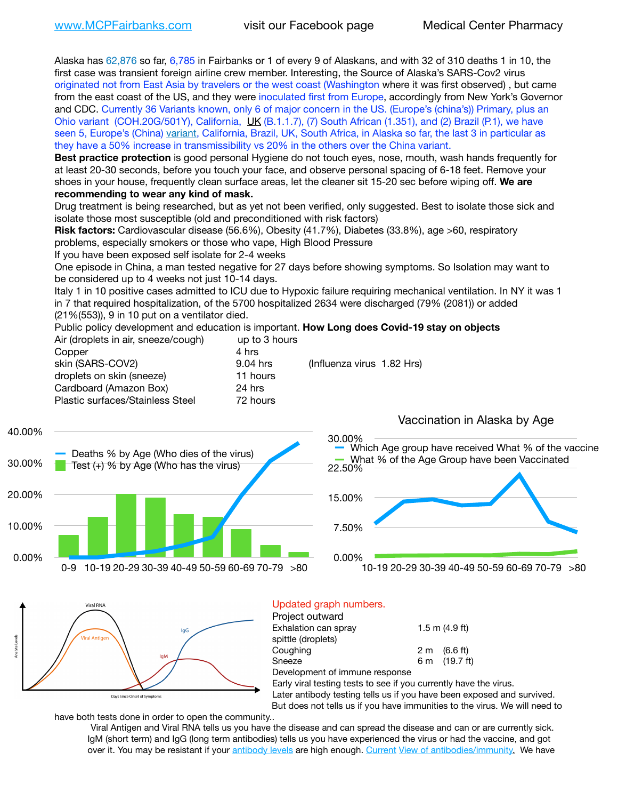Alaska has 62,876 so far, 6,785 in Fairbanks or 1 of every 9 of Alaskans, and with 32 of 310 deaths 1 in 10, the first case was transient foreign airline crew member. Interesting, the Source of Alaska's SARS-Cov2 virus originated not from East Asia by travelers or the west coast (Washington where it was first observed) , but came from the east coast of the US, and they were inoculated first from Europe, accordingly from New York's Governor and CDC. Currently 36 Variants known, only 6 of major concern in the US. (Europe's (china's)) Primary, plus an Ohio variant (COH.20G/501Y), California, [UK](https://www.cdc.gov/coronavirus/2019-ncov/transmission/variant-cases.html) (B.1.1.7), (7) South African (1.351), and (2) Brazil (P.1), we have seen 5, Europe's (China) [variant,](https://www.webmd.com/lung/news/20210318/cdc-who-create-threat-levels-for-covid-variants?ecd=wnl_cvd_031921&ctr=wnl-cvd-031921&mb=kYbf7DsHb7YGjh/1RUkcAW0T6iorImAU1TDZh18RYs0=_Support_titleLink_2) California, Brazil, UK, South Africa, in Alaska so far, the last 3 in particular as they have a 50% increase in transmissibility vs 20% in the others over the China variant.

**Best practice protection** is good personal Hygiene do not touch eyes, nose, mouth, wash hands frequently for at least 20-30 seconds, before you touch your face, and observe personal spacing of 6-18 feet. Remove your shoes in your house, frequently clean surface areas, let the cleaner sit 15-20 sec before wiping off. **We are recommending to wear any kind of mask.**

Drug treatment is being researched, but as yet not been verified, only suggested. Best to isolate those sick and isolate those most susceptible (old and preconditioned with risk factors)

**Risk factors:** Cardiovascular disease (56.6%), Obesity (41.7%), Diabetes (33.8%), age >60, respiratory problems, especially smokers or those who vape, High Blood Pressure

If you have been exposed self isolate for 2-4 weeks

One episode in China, a man tested negative for 27 days before showing symptoms. So Isolation may want to be considered up to 4 weeks not just 10-14 days.

Italy 1 in 10 positive cases admitted to ICU due to Hypoxic failure requiring mechanical ventilation. In NY it was 1 in 7 that required hospitalization, of the 5700 hospitalized 2634 were discharged (79% (2081)) or added (21%(553)), 9 in 10 put on a ventilator died.

Public policy development and education is important. **How Long does Covid-19 stay on objects**

| Air (droplets in air, sneeze/cough) | up to 3 hours |                            |
|-------------------------------------|---------------|----------------------------|
| Copper                              | 4 hrs         |                            |
| skin (SARS-COV2)                    | 9.04 hrs      | (Influenza virus 1.82 Hrs) |
| droplets on skin (sneeze)           | 11 hours      |                            |
| Cardboard (Amazon Box)              | 24 hrs        |                            |
| Plastic surfaces/Stainless Steel    | 72 hours      |                            |
|                                     |               |                            |





Vaccination in Alaska by Age

10-19 20-29 30-39 40-49 50-59 60-69 70-79 >80



## Updated graph numbers.

| Project outward                                                        |     |                  |
|------------------------------------------------------------------------|-----|------------------|
| Exhalation can spray                                                   |     | 1.5 m $(4.9$ ft) |
| spittle (droplets)                                                     |     |                  |
| Coughing                                                               | 2 m | (6.6 ft)         |
| Sneeze                                                                 |     | 6 m (19.7 ft)    |
| Development of immune response                                         |     |                  |
| Early viral testing tests to see if you currently have the virus.      |     |                  |
| Later antibody testing tells us if you have been exposed and survived. |     |                  |

But does not tells us if you have immunities to the virus. We will need to

have both tests done in order to open the community..

Viral Antigen and Viral RNA tells us you have the disease and can spread the disease and can or are currently sick. IgM (short term) and IgG (long term antibodies) tells us you have experienced the virus or had the vaccine, and got over it. You may be resistant if your [antibody levels](https://www.cdc.gov/coronavirus/2019-ncov/lab/resources/antibody-tests.html) are high enough. [Current](https://l.facebook.com/l.php?u=https://www.itv.com/news/2020-10-26/covid-19-antibody-levels-reduce-over-time-study-finds?fbclid=IwAR3Dapzh1qIH1EIOdUQI2y8THf7jfA4KBCaJz8Qg-8xe1YsrR4nsAHDIXSY&h=AT30nut8pkqp0heVuz5W2rT2WFFm-2Ab52BsJxZZCNlGsX58IpPkuVEPULbIUV_M16MAukx1Kwb657DPXxsgDN1rpOQ4gqBtQsmVYiWpnHPJo2RQsU6CPMd14lgLnQnFWxfVi6zvmw&__tn__=-UK-R&c%5B0%5D=AT1GaRAfR_nGAyqcn7TI1-PpvqOqEKXHnz6TDWvRStMnOSH7boQDvTiwTOc6VId9UES6LKiOmm2m88wKCoolkJyOFvakt2Z1Mw8toYWGGoWW23r0MNVBl7cYJXB_UOvGklNHaNnaNr1_S7NhT3BSykNOBg) [View of antibodies/immunity](https://www.livescience.com/antibodies.html)[.](https://www.itv.com/news/2020-10-26/covid-19-antibody-levels-reduce-over-time-study-finds) We have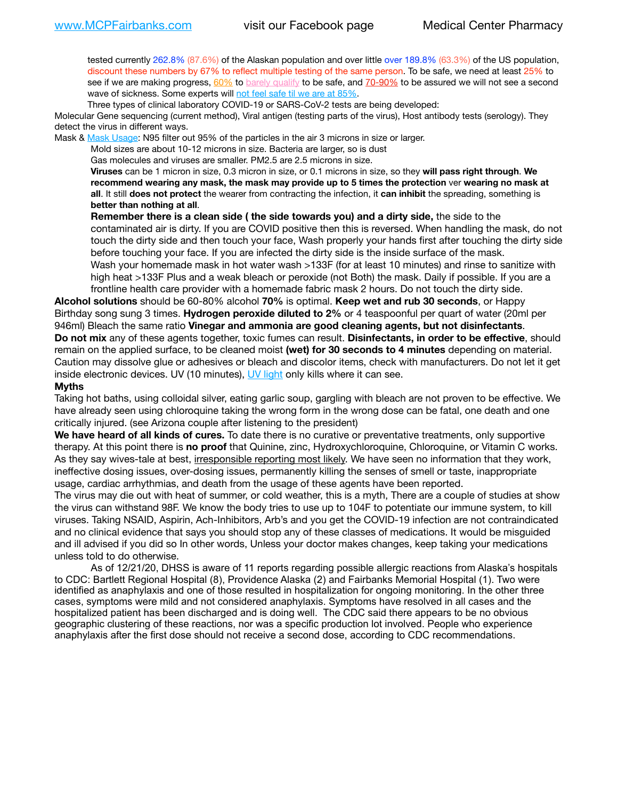tested currently 262.8% (87.6%) of the Alaskan population and over little over 189.8% (63.3%) of the US population, discount these numbers by 67% to reflect multiple testing of the same person. To be safe, we need at least 25% to see if we are making progress, [60%](https://www.jhsph.edu/covid-19/articles/achieving-herd-immunity-with-covid19.html) to [barely qualify](https://www.nature.com/articles/d41586-020-02948-4) to be safe, and [70-90%](https://www.mayoclinic.org/herd-immunity-and-coronavirus/art-20486808) to be assured we will not see a second wave of sickness. Some experts will [not feel safe til we are at 85%.](https://www.bannerhealth.com/healthcareblog/teach-me/what-is-herd-immunity)

Three types of clinical laboratory COVID-19 or SARS-CoV-2 tests are being developed:

Molecular Gene sequencing (current method), Viral antigen (testing parts of the virus), Host antibody tests (serology). They detect the virus in different ways.

Mask & [Mask Usage:](https://www.nationalgeographic.com/history/2020/03/how-cities-flattened-curve-1918-spanish-flu-pandemic-coronavirus/) N95 filter out 95% of the particles in the air 3 microns in size or larger.

Mold sizes are about 10-12 microns in size. Bacteria are larger, so is dust

Gas molecules and viruses are smaller. PM2.5 are 2.5 microns in size.

**Viruses** can be 1 micron in size, 0.3 micron in size, or 0.1 microns in size, so they **will pass right through**. **We recommend wearing any mask, the mask may provide up to 5 times the protection** ver **wearing no mask at all**. It still **does not protect** the wearer from contracting the infection, it **can inhibit** the spreading, something is **better than nothing at all**.

**Remember there is a clean side ( the side towards you) and a dirty side,** the side to the contaminated air is dirty. If you are COVID positive then this is reversed. When handling the mask, do not touch the dirty side and then touch your face, Wash properly your hands first after touching the dirty side before touching your face. If you are infected the dirty side is the inside surface of the mask. Wash your homemade mask in hot water wash >133F (for at least 10 minutes) and rinse to sanitize with high heat >133F Plus and a weak bleach or peroxide (not Both) the mask. Daily if possible. If you are a frontline health care provider with a homemade fabric mask 2 hours. Do not touch the dirty side.

**Alcohol solutions** should be 60-80% alcohol **70%** is optimal. **Keep wet and rub 30 seconds**, or Happy Birthday song sung 3 times. **Hydrogen peroxide diluted to 2%** or 4 teaspoonful per quart of water (20ml per 946ml) Bleach the same ratio **Vinegar and ammonia are good cleaning agents, but not disinfectants**. **Do not mix** any of these agents together, toxic fumes can result. **Disinfectants, in order to be effective**, should remain on the applied surface, to be cleaned moist **(wet) for 30 seconds to 4 minutes** depending on material. Caution may dissolve glue or adhesives or bleach and discolor items, check with manufacturers. Do not let it get inside electronic devices. UV (10 minutes), [UV light](http://www.docreviews.me/best-uv-boxes-2020/?fbclid=IwAR3bvFtXB48OoBBSvYvTEnKuHNPbipxM6jUo82QUSw9wckxjC7wwRZWabGw) only kills where it can see.

#### **Myths**

Taking hot baths, using colloidal silver, eating garlic soup, gargling with bleach are not proven to be effective. We have already seen using chloroquine taking the wrong form in the wrong dose can be fatal, one death and one critically injured. (see Arizona couple after listening to the president)

**We have heard of all kinds of cures.** To date there is no curative or preventative treatments, only supportive therapy. At this point there is **no proof** that Quinine, zinc, Hydroxychloroquine, Chloroquine, or Vitamin C works. As they say wives-tale at best, irresponsible reporting most likely. We have seen no information that they work, ineffective dosing issues, over-dosing issues, permanently killing the senses of smell or taste, inappropriate usage, cardiac arrhythmias, and death from the usage of these agents have been reported.

The virus may die out with heat of summer, or cold weather, this is a myth, There are a couple of studies at show the virus can withstand 98F. We know the body tries to use up to 104F to potentiate our immune system, to kill viruses. Taking NSAID, Aspirin, Ach-Inhibitors, Arb's and you get the COVID-19 infection are not contraindicated and no clinical evidence that says you should stop any of these classes of medications. It would be misguided and ill advised if you did so In other words, Unless your doctor makes changes, keep taking your medications unless told to do otherwise.

As of 12/21/20, DHSS is aware of 11 reports regarding possible allergic reactions from Alaska's hospitals to CDC: Bartlett Regional Hospital (8), Providence Alaska (2) and Fairbanks Memorial Hospital (1). Two were identified as anaphylaxis and one of those resulted in hospitalization for ongoing monitoring. In the other three cases, symptoms were mild and not considered anaphylaxis. Symptoms have resolved in all cases and the hospitalized patient has been discharged and is doing well. The CDC said there appears to be no obvious geographic clustering of these reactions, nor was a specific production lot involved. People who experience anaphylaxis after the first dose should not receive a second dose, according to CDC recommendations.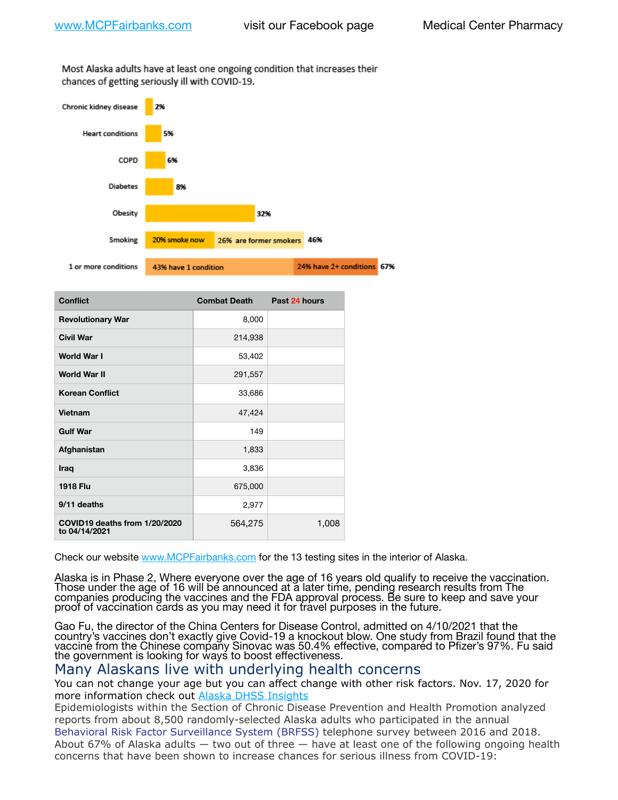Most Alaska adults have at least one ongoing condition that increases their chances of getting seriously ill with COVID-19.



| <b>Conflict</b>                                | <b>Combat Death</b> | Past 24 hours |
|------------------------------------------------|---------------------|---------------|
| <b>Revolutionary War</b>                       | 8,000               |               |
| <b>Civil War</b>                               | 214,938             |               |
| <b>World War I</b>                             | 53,402              |               |
| <b>World War II</b>                            | 291,557             |               |
| <b>Korean Conflict</b>                         | 33,686              |               |
| Vietnam                                        | 47,424              |               |
| <b>Gulf War</b>                                | 149                 |               |
| Afghanistan                                    | 1,833               |               |
| Iraq                                           | 3,836               |               |
| <b>1918 Flu</b>                                | 675,000             |               |
| 9/11 deaths                                    | 2,977               |               |
| COVID19 deaths from 1/20/2020<br>to 04/14/2021 | 564,275             | 1,008         |

Check our website [www.MCPFairbanks.com](http://www.MCPFairbanks.com) for the 13 testing sites in the interior of Alaska.

Alaska is in Phase 2, Where everyone over the age of 16 years old qualify to receive the vaccination. Those under the age of 16 will be announced at a later time, pending research results from The companies producing the vaccines and the FDA approval process. Be sure to keep and save your proof of vaccination cards as you may need it for travel purposes in the future.

Gao Fu, the director of the China Centers for Disease Control, admitted on 4/10/2021 that the country's vaccines don't exactly give Covid-19 a knockout blow. One study from Brazil found that the vaccine from the Chinese company Sinovac was 50.4% effective, compared to Pfizer's 97%. Fu said the government is looking for ways to boost effectiveness.

# Many Alaskans live with underlying health concerns

You can not change your age but you can affect change with other risk factors. Nov. 17, 2020 for more information check out [Alaska DHSS Insights](http://dhss.alaska.gov/dph/Epi/id/Pages/COVID-19/blog/20201117.aspx)

Epidemiologists within the Section of Chronic Disease Prevention and Health Promotion analyzed reports from about 8,500 randomly-selected Alaska adults who participated in the annual [Behavioral Risk Factor Surveillance System \(BRFSS\)](http://dhss.alaska.gov/dph/Chronic/Pages/brfss/default.aspx) telephone survey between 2016 and 2018. About 67% of Alaska adults — two out of three — have at least one of the following ongoing health concerns that have been shown to increase chances for serious illness from COVID-19: